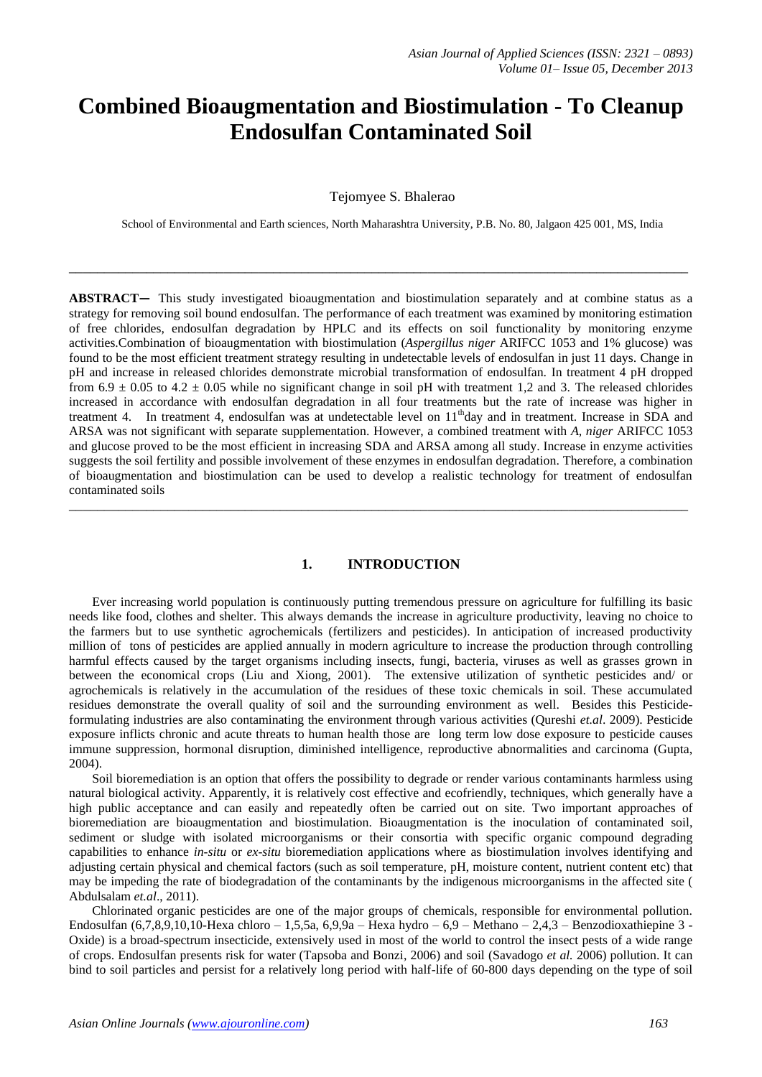# **Combined Bioaugmentation and Biostimulation - To Cleanup Endosulfan Contaminated Soil**

Tejomyee S. Bhalerao

School of Environmental and Earth sciences, North Maharashtra University, P.B. No. 80, Jalgaon 425 001, MS, India

**\_\_\_\_\_\_\_\_\_\_\_\_\_\_\_\_\_\_\_\_\_\_\_\_\_\_\_\_\_\_\_\_\_\_\_\_\_\_\_\_\_\_\_\_\_\_\_\_\_\_\_\_\_\_\_\_\_\_\_\_\_\_\_\_\_\_\_\_\_\_\_\_\_\_\_\_\_\_\_\_\_\_\_\_\_\_\_\_**

**ABSTRACT—** This study investigated bioaugmentation and biostimulation separately and at combine status as a strategy for removing soil bound endosulfan. The performance of each treatment was examined by monitoring estimation of free chlorides, endosulfan degradation by HPLC and its effects on soil functionality by monitoring enzyme activities.Combination of bioaugmentation with biostimulation (*Aspergillus niger* ARIFCC 1053 and 1% glucose) was found to be the most efficient treatment strategy resulting in undetectable levels of endosulfan in just 11 days. Change in pH and increase in released chlorides demonstrate microbial transformation of endosulfan. In treatment 4 pH dropped from  $6.9 \pm 0.05$  to  $4.2 \pm 0.05$  while no significant change in soil pH with treatment 1.2 and 3. The released chlorides increased in accordance with endosulfan degradation in all four treatments but the rate of increase was higher in treatment 4. In treatment 4, endosulfan was at undetectable level on 11<sup>th</sup>day and in treatment. Increase in SDA and ARSA was not significant with separate supplementation. However, a combined treatment with *A, niger* ARIFCC 1053 and glucose proved to be the most efficient in increasing SDA and ARSA among all study. Increase in enzyme activities suggests the soil fertility and possible involvement of these enzymes in endosulfan degradation. Therefore, a combination of bioaugmentation and biostimulation can be used to develop a realistic technology for treatment of endosulfan contaminated soils

## **1. INTRODUCTION**

**\_\_\_\_\_\_\_\_\_\_\_\_\_\_\_\_\_\_\_\_\_\_\_\_\_\_\_\_\_\_\_\_\_\_\_\_\_\_\_\_\_\_\_\_\_\_\_\_\_\_\_\_\_\_\_\_\_\_\_\_\_\_\_\_\_\_\_\_\_\_\_\_\_\_\_\_\_\_\_\_\_\_\_\_\_\_\_\_**

Ever increasing world population is continuously putting tremendous pressure on agriculture for fulfilling its basic needs like food, clothes and shelter. This always demands the increase in agriculture productivity, leaving no choice to the farmers but to use synthetic agrochemicals (fertilizers and pesticides). In anticipation of increased productivity million of tons of pesticides are applied annually in modern agriculture to increase the production through controlling harmful effects caused by the target organisms including insects, fungi, bacteria, viruses as well as grasses grown in between the economical crops (Liu and Xiong, 2001). The extensive utilization of synthetic pesticides and/ or agrochemicals is relatively in the accumulation of the residues of these toxic chemicals in soil. These accumulated residues demonstrate the overall quality of soil and the surrounding environment as well. Besides this Pesticideformulating industries are also contaminating the environment through various activities (Qureshi *et.al*. 2009). Pesticide exposure inflicts chronic and acute threats to human health those are long term low dose exposure to pesticide causes immune suppression, hormonal disruption, diminished intelligence, reproductive abnormalities and carcinoma (Gupta, 2004).

Soil bioremediation is an option that offers the possibility to degrade or render various contaminants harmless using natural biological activity. Apparently, it is relatively cost effective and ecofriendly, techniques, which generally have a high public acceptance and can easily and repeatedly often be carried out on site. Two important approaches of bioremediation are bioaugmentation and biostimulation. Bioaugmentation is the inoculation of contaminated soil, sediment or sludge with isolated microorganisms or their consortia with specific organic compound degrading capabilities to enhance *in-situ* or *ex-situ* bioremediation applications where as biostimulation involves identifying and adjusting certain physical and chemical factors (such as soil temperature, pH, moisture content, nutrient content etc) that may be impeding the rate of biodegradation of the contaminants by the indigenous microorganisms in the affected site ( Abdulsalam *et.al*., 2011).

Chlorinated organic pesticides are one of the major groups of chemicals, responsible for environmental pollution. Endosulfan (6,7,8,9,10,10-Hexa chloro – 1,5,5a, 6,9,9a – Hexa hydro – 6,9 – Methano – 2,4,3 – Benzodioxathiepine 3 -Oxide) is a broad-spectrum insecticide, extensively used in most of the world to control the insect pests of a wide range of crops. Endosulfan presents risk for water (Tapsoba and Bonzi, 2006) and soil (Savadogo *et al.* 2006) pollution. It can bind to soil particles and persist for a relatively long period with half-life of 60-800 days depending on the type of soil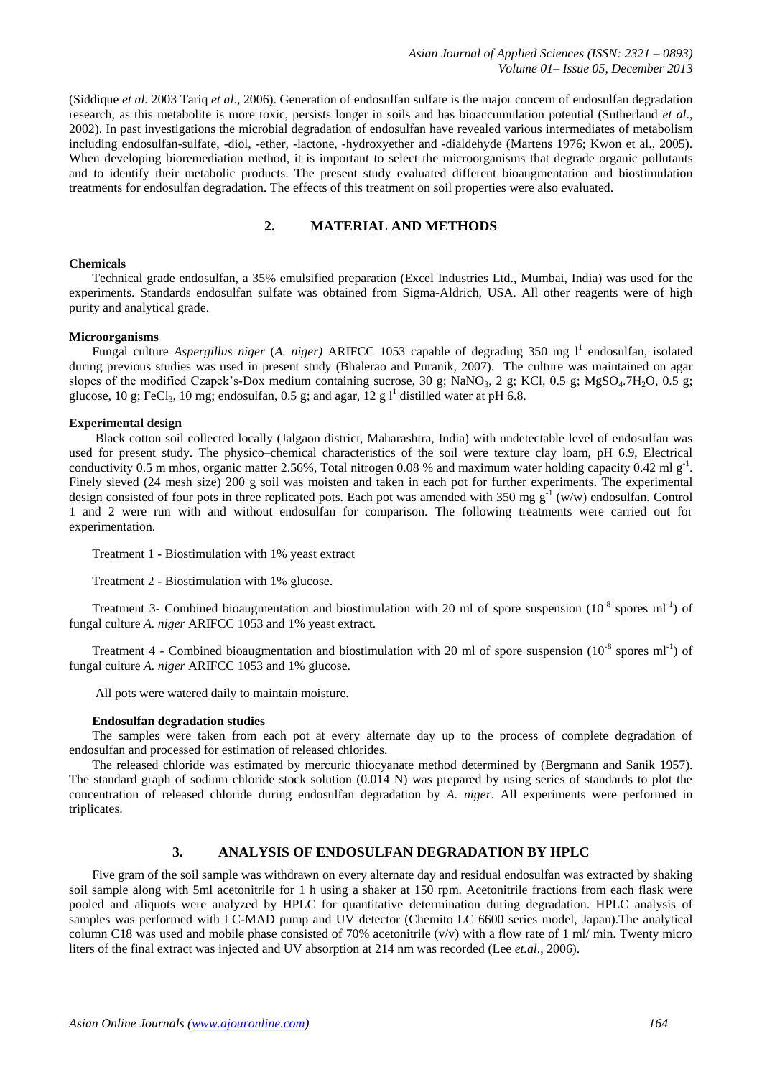(Siddique *et al.* 2003 Tariq *et al*., 2006). Generation of endosulfan sulfate is the major concern of endosulfan degradation research, as this metabolite is more toxic, persists longer in soils and has bioaccumulation potential (Sutherland *et al*., 2002). In past investigations the microbial degradation of endosulfan have revealed various intermediates of metabolism including endosulfan-sulfate, -diol, -ether, -lactone, -hydroxyether and -dialdehyde (Martens 1976; Kwon et al., 2005). When developing bioremediation method, it is important to select the microorganisms that degrade organic pollutants and to identify their metabolic products. The present study evaluated different bioaugmentation and biostimulation treatments for endosulfan degradation. The effects of this treatment on soil properties were also evaluated.

## **2. MATERIAL AND METHODS**

## **Chemicals**

Technical grade endosulfan, a 35% emulsified preparation (Excel Industries Ltd., Mumbai, India) was used for the experiments. Standards endosulfan sulfate was obtained from Sigma-Aldrich, USA. All other reagents were of high purity and analytical grade.

## **Microorganisms**

Fungal culture *Aspergillus niger* (A. *niger*) ARIFCC 1053 capable of degrading 350 mg l<sup>1</sup> endosulfan, isolated during previous studies was used in present study (Bhalerao and Puranik, 2007). The culture was maintained on agar slopes of the modified Czapek's-Dox medium containing sucrose, 30 g; NaNO<sub>3</sub>, 2 g; KCl, 0.5 g; MgSO<sub>4</sub>.7H<sub>2</sub>O, 0.5 g; glucose, 10 g; FeCl<sub>3</sub>, 10 mg; endosulfan, 0.5 g; and agar, 12 g  $1^1$  distilled water at pH 6.8.

## **Experimental design**

Black cotton soil collected locally (Jalgaon district, Maharashtra, India) with undetectable level of endosulfan was used for present study. The physico–chemical characteristics of the soil were texture clay loam, pH 6.9, Electrical conductivity 0.5 m mhos, organic matter 2.56%, Total nitrogen 0.08 % and maximum water holding capacity 0.42 ml  $g^{-1}$ . Finely sieved (24 mesh size) 200 g soil was moisten and taken in each pot for further experiments. The experimental design consisted of four pots in three replicated pots. Each pot was amended with 350 mg  $g^{-1}$  (w/w) endosulfan. Control 1 and 2 were run with and without endosulfan for comparison. The following treatments were carried out for experimentation.

Treatment 1 - Biostimulation with 1% yeast extract

Treatment 2 - Biostimulation with 1% glucose.

Treatment 3- Combined bioaugmentation and biostimulation with 20 ml of spore suspension  $(10^{-8}$  spores ml<sup>-1</sup>) of fungal culture *A. niger* ARIFCC 1053 and 1% yeast extract.

Treatment 4 - Combined bioaugmentation and biostimulation with 20 ml of spore suspension  $(10^{-8}$  spores ml<sup>-1</sup>) of fungal culture *A. niger* ARIFCC 1053 and 1% glucose.

All pots were watered daily to maintain moisture.

### **Endosulfan degradation studies**

The samples were taken from each pot at every alternate day up to the process of complete degradation of endosulfan and processed for estimation of released chlorides.

The released chloride was estimated by mercuric thiocyanate method determined by (Bergmann and Sanik 1957). The standard graph of sodium chloride stock solution (0.014 N) was prepared by using series of standards to plot the concentration of released chloride during endosulfan degradation by *A. niger*. All experiments were performed in triplicates.

# **3. ANALYSIS OF ENDOSULFAN DEGRADATION BY HPLC**

Five gram of the soil sample was withdrawn on every alternate day and residual endosulfan was extracted by shaking soil sample along with 5ml acetonitrile for 1 h using a shaker at 150 rpm. Acetonitrile fractions from each flask were pooled and aliquots were analyzed by HPLC for quantitative determination during degradation. HPLC analysis of samples was performed with LC-MAD pump and UV detector (Chemito LC 6600 series model, Japan).The analytical column C18 was used and mobile phase consisted of 70% acetonitrile  $(v/v)$  with a flow rate of 1 ml/ min. Twenty micro liters of the final extract was injected and UV absorption at 214 nm was recorded (Lee *et.al*., 2006).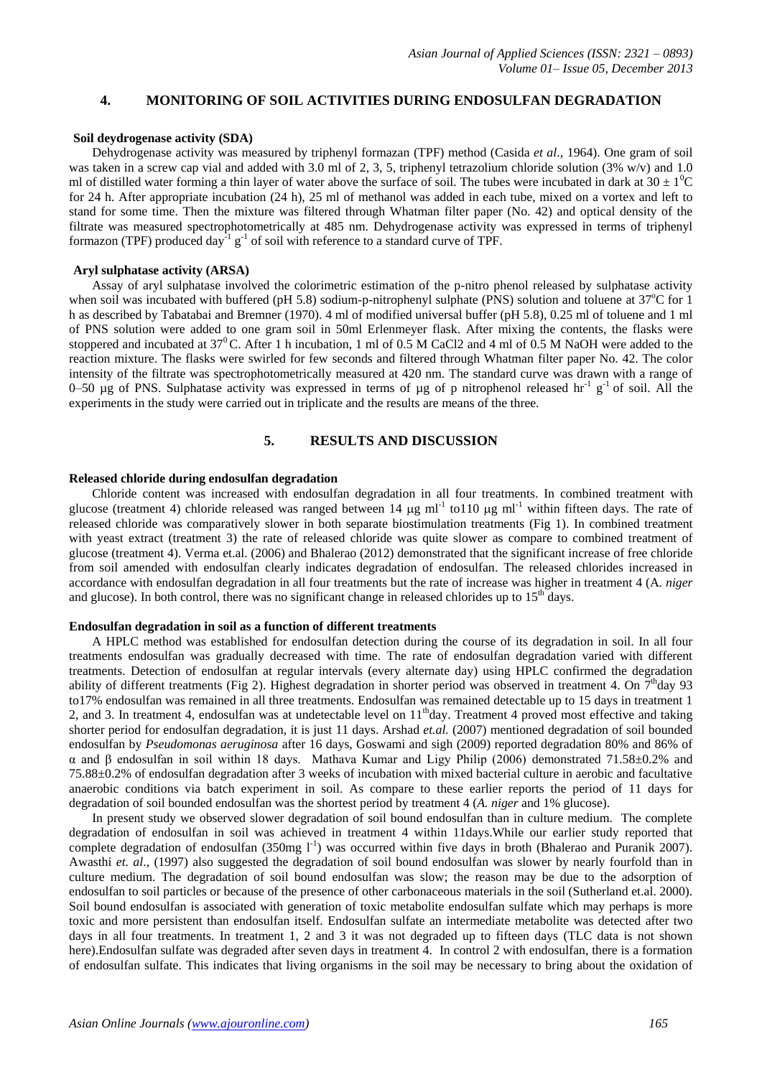## **4. MONITORING OF SOIL ACTIVITIES DURING ENDOSULFAN DEGRADATION**

#### **Soil deydrogenase activity (SDA)**

Dehydrogenase activity was measured by triphenyl formazan (TPF) method (Casida *et al*., 1964). One gram of soil was taken in a screw cap vial and added with 3.0 ml of 2, 3, 5, triphenyl tetrazolium chloride solution  $(3\% w/v)$  and 1.0 ml of distilled water forming a thin layer of water above the surface of soil. The tubes were incubated in dark at  $30 \pm 1^0C$ for 24 h. After appropriate incubation (24 h), 25 ml of methanol was added in each tube, mixed on a vortex and left to stand for some time. Then the mixture was filtered through Whatman filter paper (No. 42) and optical density of the filtrate was measured spectrophotometrically at 485 nm. Dehydrogenase activity was expressed in terms of triphenyl formazon (TPF) produced day<sup>-1</sup>  $g^{-1}$  of soil with reference to a standard curve of TPF.

#### **Aryl sulphatase activity (ARSA)**

Assay of aryl sulphatase involved the colorimetric estimation of the p-nitro phenol released by sulphatase activity when soil was incubated with buffered (pH 5.8) sodium-p-nitrophenyl sulphate (PNS) solution and toluene at  $37^{\circ}$ C for 1 h as described by Tabatabai and Bremner (1970). 4 ml of modified universal buffer (pH 5.8), 0.25 ml of toluene and 1 ml of PNS solution were added to one gram soil in 50ml Erlenmeyer flask. After mixing the contents, the flasks were stoppered and incubated at  $37^0$ C. After 1 h incubation, 1 ml of 0.5 M CaCl2 and 4 ml of 0.5 M NaOH were added to the reaction mixture. The flasks were swirled for few seconds and filtered through Whatman filter paper No. 42. The color intensity of the filtrate was spectrophotometrically measured at 420 nm. The standard curve was drawn with a range of 0–50  $\mu$ g of PNS. Sulphatase activity was expressed in terms of  $\mu$ g of p nitrophenol released hr<sup>-1</sup> g<sup>-1</sup> of soil. All the experiments in the study were carried out in triplicate and the results are means of the three.

## **5. RESULTS AND DISCUSSION**

#### **Released chloride during endosulfan degradation**

Chloride content was increased with endosulfan degradation in all four treatments. In combined treatment with glucose (treatment 4) chloride released was ranged between 14  $\mu$ g ml<sup>-1</sup> to110  $\mu$ g ml<sup>-1</sup> within fifteen days. The rate of released chloride was comparatively slower in both separate biostimulation treatments (Fig 1). In combined treatment with yeast extract (treatment 3) the rate of released chloride was quite slower as compare to combined treatment of glucose (treatment 4). Verma et.al. (2006) and Bhalerao (2012) demonstrated that the significant increase of free chloride from soil amended with endosulfan clearly indicates degradation of endosulfan. The released chlorides increased in accordance with endosulfan degradation in all four treatments but the rate of increase was higher in treatment 4 (A*. niger*  and glucose). In both control, there was no significant change in released chlorides up to  $15<sup>th</sup>$  days.

## **Endosulfan degradation in soil as a function of different treatments**

A HPLC method was established for endosulfan detection during the course of its degradation in soil. In all four treatments endosulfan was gradually decreased with time. The rate of endosulfan degradation varied with different treatments. Detection of endosulfan at regular intervals (every alternate day) using HPLC confirmed the degradation ability of different treatments (Fig 2). Highest degradation in shorter period was observed in treatment 4. On  $7<sup>th</sup>$ day 93 to17% endosulfan was remained in all three treatments. Endosulfan was remained detectable up to 15 days in treatment 1 2, and 3. In treatment 4, endosulfan was at undetectable level on  $11<sup>th</sup>$ day. Treatment 4 proved most effective and taking shorter period for endosulfan degradation, it is just 11 days. Arshad *et.al.* (2007) mentioned degradation of soil bounded endosulfan by *Pseudomonas aeruginosa* after 16 days, Goswami and sigh (2009) reported degradation 80% and 86% of α and β endosulfan in soil within 18 days. Mathava Kumar and Ligy Philip (2006) demonstrated 71.58±0.2% and 75.88±0.2% of endosulfan degradation after 3 weeks of incubation with mixed bacterial culture in aerobic and facultative anaerobic conditions via batch experiment in soil. As compare to these earlier reports the period of 11 days for degradation of soil bounded endosulfan was the shortest period by treatment 4 (*A. niger* and 1% glucose).

In present study we observed slower degradation of soil bound endosulfan than in culture medium. The complete degradation of endosulfan in soil was achieved in treatment 4 within 11days.While our earlier study reported that complete degradation of endosulfan  $(350mg l^{-1})$  was occurred within five days in broth (Bhalerao and Puranik 2007). Awasthi *et. al*., (1997) also suggested the degradation of soil bound endosulfan was slower by nearly fourfold than in culture medium. The degradation of soil bound endosulfan was slow; the reason may be due to the adsorption of endosulfan to soil particles or because of the presence of other carbonaceous materials in the soil (Sutherland et.al. 2000). Soil bound endosulfan is associated with generation of toxic metabolite endosulfan sulfate which may perhaps is more toxic and more persistent than endosulfan itself. Endosulfan sulfate an intermediate metabolite was detected after two days in all four treatments. In treatment 1, 2 and 3 it was not degraded up to fifteen days (TLC data is not shown here).Endosulfan sulfate was degraded after seven days in treatment 4. In control 2 with endosulfan, there is a formation of endosulfan sulfate. This indicates that living organisms in the soil may be necessary to bring about the oxidation of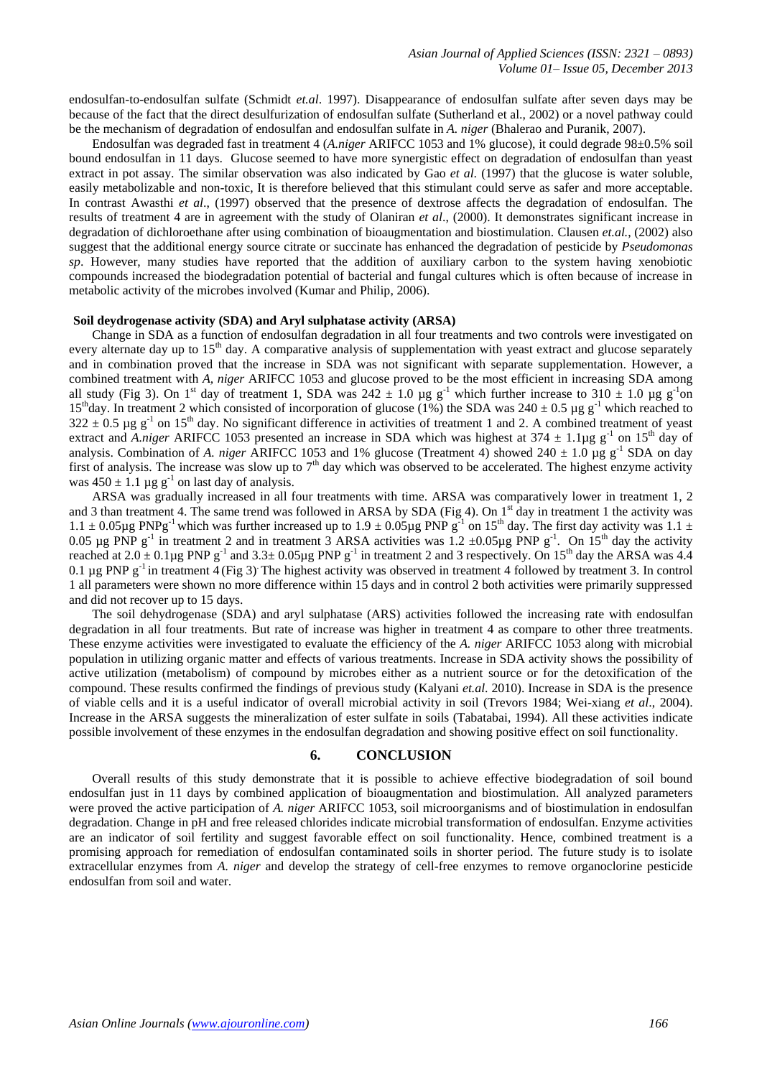endosulfan-to-endosulfan sulfate (Schmidt *et.al*. 1997). Disappearance of endosulfan sulfate after seven days may be because of the fact that the direct desulfurization of endosulfan sulfate (Sutherland et al., 2002) or a novel pathway could be the mechanism of degradation of endosulfan and endosulfan sulfate in *A. niger* (Bhalerao and Puranik, 2007).

Endosulfan was degraded fast in treatment 4 (*A.niger* ARIFCC 1053 and 1% glucose), it could degrade 98±0.5% soil bound endosulfan in 11 days. Glucose seemed to have more synergistic effect on degradation of endosulfan than yeast extract in pot assay. The similar observation was also indicated by Gao *et al*. (1997) that the glucose is water soluble, easily metabolizable and non-toxic, It is therefore believed that this stimulant could serve as safer and more acceptable. In contrast Awasthi *et al*., (1997) observed that the presence of dextrose affects the degradation of endosulfan. The results of treatment 4 are in agreement with the study of Olaniran *et al*., (2000). It demonstrates significant increase in degradation of dichloroethane after using combination of bioaugmentation and biostimulation. Clausen *et.al.*, (2002) also suggest that the additional energy source citrate or succinate has enhanced the degradation of pesticide by *Pseudomonas sp*. However, many studies have reported that the addition of auxiliary carbon to the system having xenobiotic compounds increased the biodegradation potential of bacterial and fungal cultures which is often because of increase in metabolic activity of the microbes involved (Kumar and Philip, 2006).

## **Soil deydrogenase activity (SDA) and Aryl sulphatase activity (ARSA)**

Change in SDA as a function of endosulfan degradation in all four treatments and two controls were investigated on every alternate day up to 15<sup>th</sup> day. A comparative analysis of supplementation with yeast extract and glucose separately and in combination proved that the increase in SDA was not significant with separate supplementation. However, a combined treatment with *A, niger* ARIFCC 1053 and glucose proved to be the most efficient in increasing SDA among all study (Fig 3). On 1<sup>st</sup> day of treatment 1, SDA was  $242 \pm 1.0$  µg g<sup>-1</sup> which further increase to  $310 \pm 1.0$  µg g<sup>-1</sup> on 15<sup>th</sup>day. In treatment 2 which consisted of incorporation of glucose (1%) the SDA was  $240 \pm 0.5$  µg g<sup>-1</sup> which reached to  $322 \pm 0.5$  µg g<sup>-1</sup> on 15<sup>th</sup> day. No significant difference in activities of treatment 1 and 2. A combined treatment of yeast extract and *A.niger* ARIFCC 1053 presented an increase in SDA which was highest at  $374 \pm 1.1 \mu$ g g<sup>-1</sup> on  $15<sup>th</sup>$  day of analysis. Combination of *A. niger* ARIFCC 1053 and 1% glucose (Treatment 4) showed  $240 \pm 1.0$  µg g<sup>-1</sup> SDA on day first of analysis. The increase was slow up to  $7<sup>th</sup>$  day which was observed to be accelerated. The highest enzyme activity was  $450 \pm 1.1 \,\mu g \, g^{-1}$  on last day of analysis.

ARSA was gradually increased in all four treatments with time. ARSA was comparatively lower in treatment 1, 2 and 3 than treatment 4. The same trend was followed in ARSA by SDA (Fig 4). On  $1<sup>st</sup>$  day in treatment 1 the activity was  $1.1 \pm 0.05\mu$ g PNPg<sup>-1</sup> which was further increased up to  $1.9 \pm 0.05\mu$ g PNP g<sup>-1</sup> on 15<sup>th</sup> day. The first day activity was  $1.1 \pm$ 0.05 µg PNP  $g^{-1}$  in treatment 2 and in treatment 3 ARSA activities was 1.2 ±0.05µg PNP  $g^{-1}$ . On 15<sup>th</sup> day the activity reached at  $2.0 \pm 0.1 \mu$ g PNP g<sup>-1</sup> and  $3.3 \pm 0.05 \mu$ g PNP g<sup>-1</sup> in treatment 2 and 3 respectively. On 15<sup>th</sup> day the ARSA was 4.4 0.1  $\mu$ g PNP g<sup>-1</sup> in treatment 4 (Fig 3) The highest activity was observed in treatment 4 followed by treatment 3. In control 1 all parameters were shown no more difference within 15 days and in control 2 both activities were primarily suppressed and did not recover up to 15 days.

The soil dehydrogenase (SDA) and aryl sulphatase (ARS) activities followed the increasing rate with endosulfan degradation in all four treatments. But rate of increase was higher in treatment 4 as compare to other three treatments. These enzyme activities were investigated to evaluate the efficiency of the *A. niger* ARIFCC 1053 along with microbial population in utilizing organic matter and effects of various treatments. Increase in SDA activity shows the possibility of active utilization (metabolism) of compound by microbes either as a nutrient source or for the detoxification of the compound. These results confirmed the findings of previous study (Kalyani *et.al*. 2010). Increase in SDA is the presence of viable cells and it is a useful indicator of overall microbial activity in soil (Trevors 1984; Wei-xiang *et al*., 2004). Increase in the ARSA suggests the mineralization of ester sulfate in soils (Tabatabai, 1994). All these activities indicate possible involvement of these enzymes in the endosulfan degradation and showing positive effect on soil functionality.

#### **6. CONCLUSION**

Overall results of this study demonstrate that it is possible to achieve effective biodegradation of soil bound endosulfan just in 11 days by combined application of bioaugmentation and biostimulation. All analyzed parameters were proved the active participation of *A. niger* ARIFCC 1053, soil microorganisms and of biostimulation in endosulfan degradation. Change in pH and free released chlorides indicate microbial transformation of endosulfan. Enzyme activities are an indicator of soil fertility and suggest favorable effect on soil functionality. Hence, combined treatment is a promising approach for remediation of endosulfan contaminated soils in shorter period. The future study is to isolate extracellular enzymes from *A. niger* and develop the strategy of cell-free enzymes to remove organoclorine pesticide endosulfan from soil and water.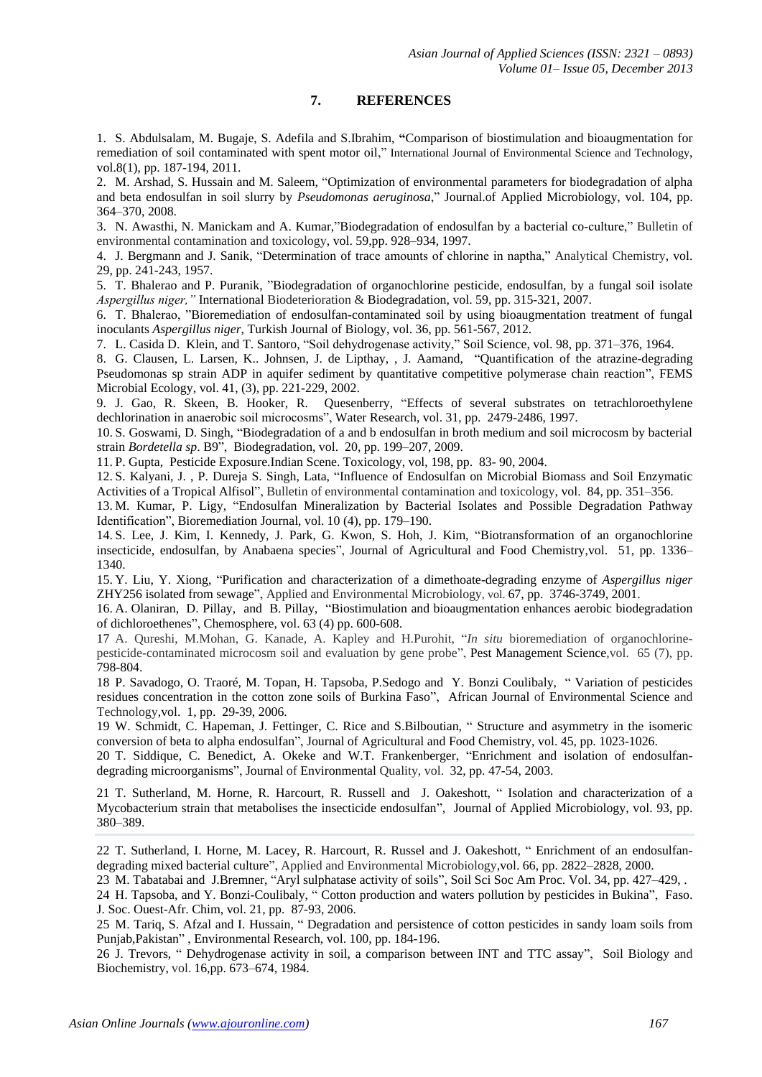# **7. REFERENCES**

1. S. Abdulsalam, M. Bugaje, S. Adefila and S.Ibrahim, **"**Comparison of biostimulation and bioaugmentation for remediation of soil contaminated with spent motor oil," International Journal of Environmental Science and Technology, vol.8(1), pp. 187-194, 2011.

2. M. Arshad, S. Hussain and M. Saleem, "Optimization of environmental parameters for biodegradation of alpha and beta endosulfan in soil slurry by *Pseudomonas aeruginosa*," Journal.of Applied Microbiology, vol. 104, pp. 364–370, 2008.

3. N. Awasthi, N. Manickam and A. Kumar,"Biodegradation of endosulfan by a bacterial co-culture," Bulletin of environmental contamination and toxicology, vol. 59,pp. 928–934, 1997.

4. J. Bergmann and J. Sanik, "Determination of trace amounts of chlorine in naptha," Analytical Chemistry, vol. 29, pp. 241-243, 1957.

5. T. Bhalerao and P. Puranik, "Biodegradation of organochlorine pesticide, endosulfan, by a fungal soil isolate *Aspergillus niger,"* International Biodeterioration & Biodegradation, vol. 59, pp. 315-321, 2007.

6. T. Bhalerao, "Bioremediation of endosulfan-contaminated soil by using bioaugmentation treatment of fungal inoculants *Aspergillus niger,* Turkish Journal of Biology, vol. 36, pp. 561-567, 2012.

7. L. Casida D. Klein, and T. Santoro, "Soil dehydrogenase activity," Soil Science, vol. 98, pp. 371–376, 1964.

8. G. Clausen, L. Larsen, K.. Johnsen, J. de Lipthay, , J. Aamand, "Quantification of the atrazine-degrading Pseudomonas sp strain ADP in aquifer sediment by quantitative competitive polymerase chain reaction", FEMS Microbial Ecology, vol. 41, (3), pp. 221-229, 2002.

9. J. Gao, R. Skeen, B. Hooker, R. Quesenberry, "Effects of several substrates on tetrachloroethylene dechlorination in anaerobic soil microcosms", Water Research, vol. 31, pp. 2479-2486, 1997.

10. S. Goswami, D. Singh, "Biodegradation of a and b endosulfan in broth medium and soil microcosm by bacterial strain *Bordetella sp*. B9", Biodegradation, vol. 20, pp. 199–207, 2009.

11. P. Gupta, Pesticide Exposure.Indian Scene. Toxicology, vol, 198, pp. 83- 90, 2004.

12. S. Kalyani, J. , P. Dureja S. Singh, Lata, "Influence of Endosulfan on Microbial Biomass and Soil Enzymatic Activities of a Tropical Alfisol", Bulletin of environmental contamination and toxicology, vol. 84, pp. 351–356.

13. M. Kumar, P. Ligy, "Endosulfan Mineralization by Bacterial Isolates and Possible Degradation Pathway Identification", Bioremediation Journal, vol. 10 (4), pp. 179–190.

14. S. Lee, J. Kim, I. Kennedy, J. Park, G. Kwon, S. Hoh, J. Kim, "Biotransformation of an organochlorine insecticide, endosulfan, by Anabaena species", Journal of Agricultural and Food Chemistry,vol. 51, pp. 1336– 1340.

15. Y. Liu, Y. Xiong, "Purification and characterization of a dimethoate-degrading enzyme of *Aspergillus niger*  ZHY256 isolated from sewage", Applied and Environmental Microbiology, vol. 67, pp. 3746-3749, 2001.

16. A. [Olaniran,](http://www.ncbi.nlm.nih.gov/pubmed?term=%22Olaniran%20AO%22%5BAuthor%5D) D. [Pillay,](http://www.ncbi.nlm.nih.gov/pubmed?term=%22Pillay%20D%22%5BAuthor%5D) and B. [Pillay,](http://www.ncbi.nlm.nih.gov/pubmed?term=%22Pillay%20B%22%5BAuthor%5D) "Biostimulation and bioaugmentation enhances aerobic biodegradation of dichloroethenes", Chemosphere, vol. 63 (4) pp. 600-608.

17 A. Qureshi, M.Mohan, G. Kanade, A. Kapley and H.Purohit, "*In situ* bioremediation of organochlorinepesticide-contaminated microcosm soil and evaluation by gene probe", Pest Management Science,vol. 65 (7), pp. 798-804.

18 P. Savadogo, O. Traoré, M. Topan, H. Tapsoba, P.Sedogo and Y. Bonzi Coulibaly, " Variation of pesticides residues concentration in the cotton zone soils of Burkina Faso", African Journal of Environmental Science and Technology,vol. 1, pp. 29-39, 2006.

19 W. Schmidt, C. Hapeman, J. Fettinger, C. Rice and S.Bilboutian, " Structure and asymmetry in the isomeric conversion of beta to alpha endosulfan", Journal of Agricultural and Food Chemistry, vol. 45, pp. 1023-1026.

20 T. Siddique, C. Benedict, A. Okeke and W.T. Frankenberger, "Enrichment and isolation of endosulfandegrading microorganisms", Journal of Environmental Quality, vol. 32, pp. 47-54, 2003.

21 T. Sutherland, M. Horne, R. Harcourt, R. Russell and J. Oakeshott, " Isolation and characterization of a Mycobacterium strain that metabolises the insecticide endosulfan"*,* Journal of Applied Microbiology, vol. 93, pp. 380–389.

22 T. Sutherland, I. Horne, M. Lacey, R. Harcourt, R. Russel and J. Oakeshott, " Enrichment of an endosulfandegrading mixed bacterial culture", Applied and Environmental Microbiology,vol. 66, pp. 2822–2828, 2000.

23 M. Tabatabai and J.Bremner, "Aryl sulphatase activity of soils", Soil Sci Soc Am Proc. Vol. 34, pp. 427–429, .

24 H. Tapsoba, and Y. Bonzi-Coulibaly, " Cotton production and waters pollution by pesticides in Bukina", Faso. J. Soc. Ouest-Afr. Chim, vol. 21, pp. 87-93, 2006.

25 M. Tariq, S. Afzal and I. Hussain, " Degradation and persistence of cotton pesticides in sandy loam soils from Punjab,Pakistan" , Environmental Research, vol. 100, pp. 184-196.

26 J. Trevors, " Dehydrogenase activity in soil, a comparison between INT and TTC assay", Soil Biology and Biochemistry, vol. 16,pp. 673–674, 1984.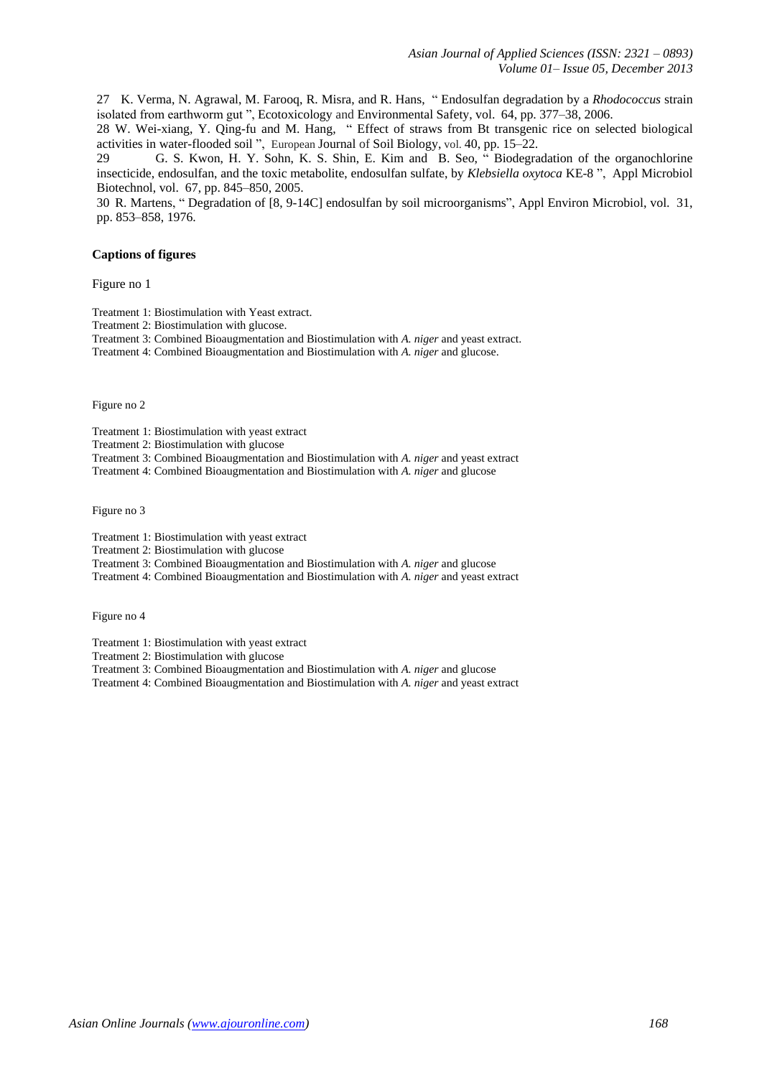27 K. Verma, N. Agrawal, M. Farooq, R. Misra, and R. Hans, " Endosulfan degradation by a *Rhodococcus* strain isolated from earthworm gut ", Ecotoxicology and Environmental Safety, vol. 64, pp. 377–38, 2006.

28 W. Wei-xiang, Y. Qing-fu and M. Hang, " Effect of straws from Bt transgenic rice on selected biological activities in water-flooded soil ", European Journal of Soil Biology, vol. 40, pp. 15–22.

29 G. S. Kwon, H. Y. Sohn, K. S. Shin, E. Kim and B. Seo, " Biodegradation of the organochlorine insecticide, endosulfan, and the toxic metabolite, endosulfan sulfate, by *Klebsiella oxytoca* KE-8 ", Appl Microbiol Biotechnol, vol. 67, pp. 845–850, 2005.

30 R. Martens, " Degradation of [8, 9-14C] endosulfan by soil microorganisms", Appl Environ Microbiol, vol. 31, pp. 853–858, 1976.

## **Captions of figures**

Figure no 1

Treatment 1: Biostimulation with Yeast extract.

Treatment 2: Biostimulation with glucose.

Treatment 3: Combined Bioaugmentation and Biostimulation with *A. niger* and yeast extract.

Treatment 4: Combined Bioaugmentation and Biostimulation with *A. niger* and glucose.

Figure no 2

Treatment 1: Biostimulation with yeast extract

Treatment 2: Biostimulation with glucose

Treatment 3: Combined Bioaugmentation and Biostimulation with *A. niger* and yeast extract

Treatment 4: Combined Bioaugmentation and Biostimulation with *A. niger* and glucose

Figure no 3

Treatment 1: Biostimulation with yeast extract

Treatment 2: Biostimulation with glucose

Treatment 3: Combined Bioaugmentation and Biostimulation with *A. niger* and glucose

Treatment 4: Combined Bioaugmentation and Biostimulation with *A. niger* and yeast extract

Figure no 4

Treatment 1: Biostimulation with yeast extract

Treatment 2: Biostimulation with glucose

Treatment 3: Combined Bioaugmentation and Biostimulation with *A. niger* and glucose

Treatment 4: Combined Bioaugmentation and Biostimulation with *A. niger* and yeast extract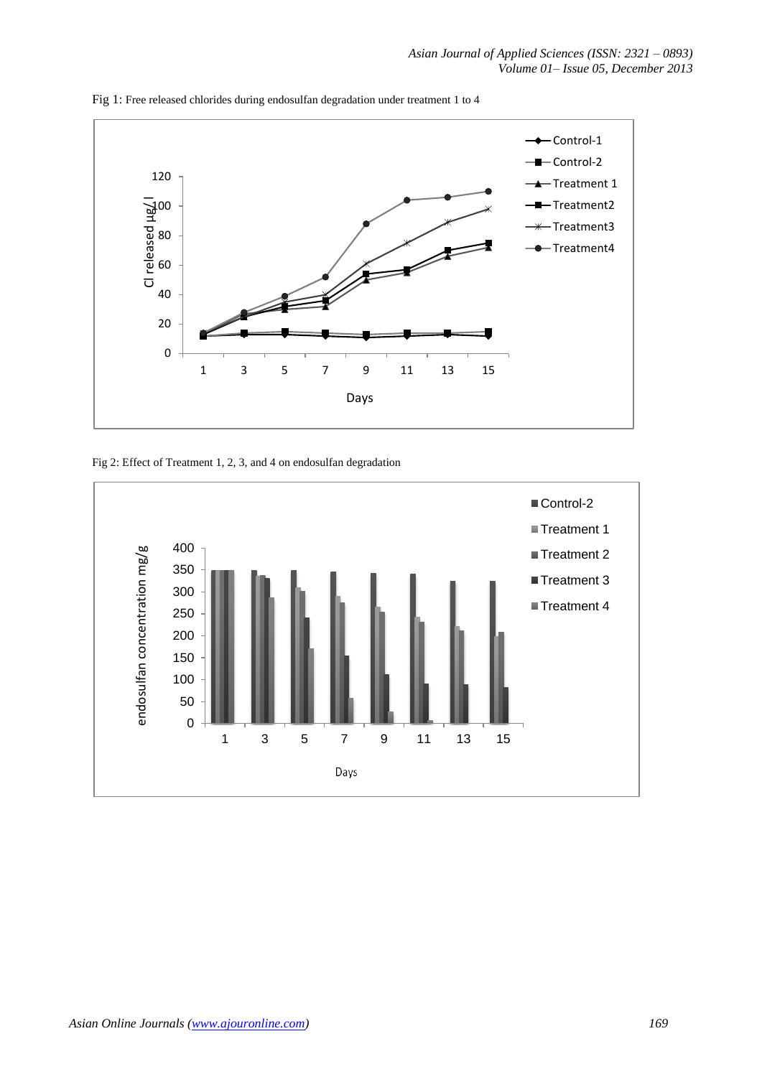

Fig 1: Free released chlorides during endosulfan degradation under treatment 1 to 4

Fig 2: Effect of Treatment 1, 2, 3, and 4 on endosulfan degradation